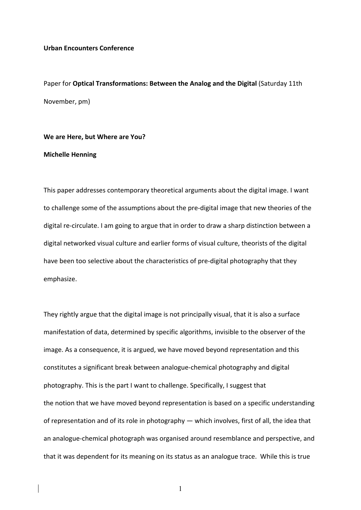## **Urban Encounters Conference**

Paper for **Optical Transformations: Between the Analog and the Digital** (Saturday 11th November, pm)

## We are Here, but Where are You?

## **Michelle Henning**

This paper addresses contemporary theoretical arguments about the digital image. I want to challenge some of the assumptions about the pre-digital image that new theories of the digital re-circulate. I am going to argue that in order to draw a sharp distinction between a digital networked visual culture and earlier forms of visual culture, theorists of the digital have been too selective about the characteristics of pre-digital photography that they emphasize. 

They rightly argue that the digital image is not principally visual, that it is also a surface manifestation of data, determined by specific algorithms, invisible to the observer of the image. As a consequence, it is argued, we have moved beyond representation and this constitutes a significant break between analogue-chemical photography and digital photography. This is the part I want to challenge. Specifically, I suggest that the notion that we have moved beyond representation is based on a specific understanding of representation and of its role in photography — which involves, first of all, the idea that an analogue-chemical photograph was organised around resemblance and perspective, and that it was dependent for its meaning on its status as an analogue trace. While this is true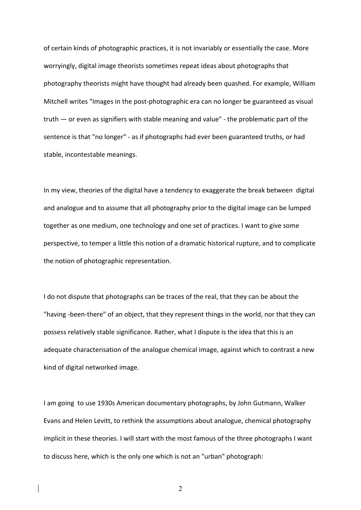of certain kinds of photographic practices, it is not invariably or essentially the case. More worryingly, digital image theorists sometimes repeat ideas about photographs that photography theorists might have thought had already been quashed. For example, William Mitchell writes "Images in the post-photographic era can no longer be guaranteed as visual truth  $-$  or even as signifiers with stable meaning and value" - the problematic part of the sentence is that "no longer" - as if photographs had ever been guaranteed truths, or had stable, incontestable meanings.

In my view, theories of the digital have a tendency to exaggerate the break between digital and analogue and to assume that all photography prior to the digital image can be lumped together as one medium, one technology and one set of practices. I want to give some perspective, to temper a little this notion of a dramatic historical rupture, and to complicate the notion of photographic representation.

I do not dispute that photographs can be traces of the real, that they can be about the "having -been-there" of an object, that they represent things in the world, nor that they can possess relatively stable significance. Rather, what I dispute is the idea that this is an adequate characterisation of the analogue chemical image, against which to contrast a new kind of digital networked image.

I am going to use 1930s American documentary photographs, by John Gutmann, Walker Evans and Helen Levitt, to rethink the assumptions about analogue, chemical photography implicit in these theories. I will start with the most famous of the three photographs I want to discuss here, which is the only one which is not an "urban" photograph: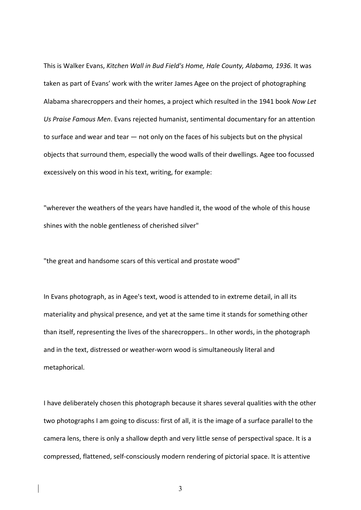This is Walker Evans, *Kitchen Wall in Bud Field's Home, Hale County, Alabama, 1936.* It was taken as part of Evans' work with the writer James Agee on the project of photographing Alabama sharecroppers and their homes, a project which resulted in the 1941 book *Now Let* Us Praise Famous Men. Evans rejected humanist, sentimental documentary for an attention to surface and wear and tear  $-$  not only on the faces of his subjects but on the physical objects that surround them, especially the wood walls of their dwellings. Agee too focussed excessively on this wood in his text, writing, for example:

"wherever the weathers of the years have handled it, the wood of the whole of this house shines with the noble gentleness of cherished silver"

"the great and handsome scars of this vertical and prostate wood"

In Evans photograph, as in Agee's text, wood is attended to in extreme detail, in all its materiality and physical presence, and yet at the same time it stands for something other than itself, representing the lives of the sharecroppers.. In other words, in the photograph and in the text, distressed or weather-worn wood is simultaneously literal and metaphorical.

I have deliberately chosen this photograph because it shares several qualities with the other two photographs I am going to discuss: first of all, it is the image of a surface parallel to the camera lens, there is only a shallow depth and very little sense of perspectival space. It is a compressed, flattened, self-consciously modern rendering of pictorial space. It is attentive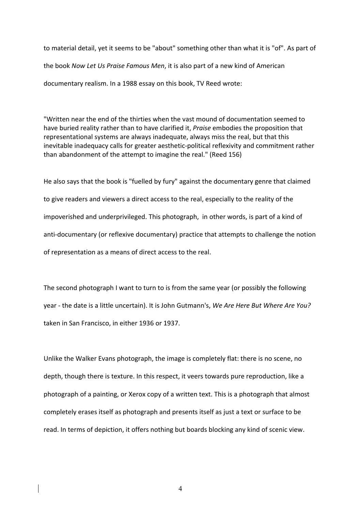to material detail, yet it seems to be "about" something other than what it is "of". As part of the book *Now Let Us Praise Famous Men*, it is also part of a new kind of American documentary realism. In a 1988 essay on this book. TV Reed wrote:

"Written near the end of the thirties when the vast mound of documentation seemed to have buried reality rather than to have clarified it, *Praise* embodies the proposition that representational systems are always inadequate, always miss the real, but that this inevitable inadequacy calls for greater aesthetic-political reflexivity and commitment rather than abandonment of the attempt to imagine the real." (Reed 156)

He also says that the book is "fuelled by fury" against the documentary genre that claimed to give readers and viewers a direct access to the real, especially to the reality of the impoverished and underprivileged. This photograph, in other words, is part of a kind of anti-documentary (or reflexive documentary) practice that attempts to challenge the notion of representation as a means of direct access to the real.

The second photograph I want to turn to is from the same year (or possibly the following year - the date is a little uncertain). It is John Gutmann's, *We Are Here But Where Are You?* taken in San Francisco, in either 1936 or 1937.

Unlike the Walker Evans photograph, the image is completely flat: there is no scene, no depth, though there is texture. In this respect, it veers towards pure reproduction, like a photograph of a painting, or Xerox copy of a written text. This is a photograph that almost completely erases itself as photograph and presents itself as just a text or surface to be read. In terms of depiction, it offers nothing but boards blocking any kind of scenic view.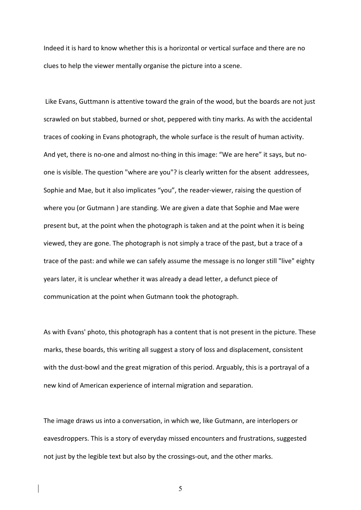Indeed it is hard to know whether this is a horizontal or vertical surface and there are no clues to help the viewer mentally organise the picture into a scene.

Like Evans, Guttmann is attentive toward the grain of the wood, but the boards are not just scrawled on but stabbed, burned or shot, peppered with tiny marks. As with the accidental traces of cooking in Evans photograph, the whole surface is the result of human activity. And yet, there is no-one and almost no-thing in this image: "We are here" it says, but noone is visible. The question "where are you"? is clearly written for the absent addressees, Sophie and Mae, but it also implicates "you", the reader-viewer, raising the question of where you (or Gutmann) are standing. We are given a date that Sophie and Mae were present but, at the point when the photograph is taken and at the point when it is being viewed, they are gone. The photograph is not simply a trace of the past, but a trace of a trace of the past: and while we can safely assume the message is no longer still "live" eighty years later, it is unclear whether it was already a dead letter, a defunct piece of communication at the point when Gutmann took the photograph.

As with Evans' photo, this photograph has a content that is not present in the picture. These marks, these boards, this writing all suggest a story of loss and displacement, consistent with the dust-bowl and the great migration of this period. Arguably, this is a portrayal of a new kind of American experience of internal migration and separation.

The image draws us into a conversation, in which we, like Gutmann, are interlopers or eavesdroppers. This is a story of everyday missed encounters and frustrations, suggested not just by the legible text but also by the crossings-out, and the other marks.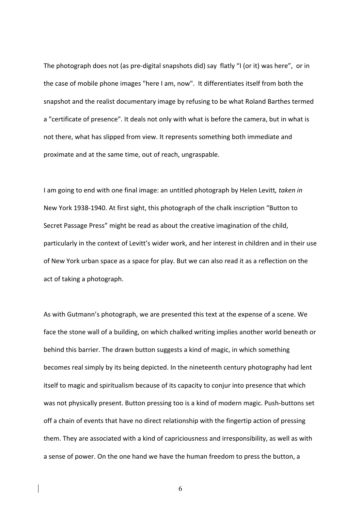The photograph does not (as pre-digital snapshots did) say flatly "I (or it) was here", or in the case of mobile phone images "here I am, now". It differentiates itself from both the snapshot and the realist documentary image by refusing to be what Roland Barthes termed a "certificate of presence". It deals not only with what is before the camera, but in what is not there, what has slipped from view. It represents something both immediate and proximate and at the same time, out of reach, ungraspable.

I am going to end with one final image: an untitled photograph by Helen Levitt, *taken in* New York 1938-1940. At first sight, this photograph of the chalk inscription "Button to Secret Passage Press" might be read as about the creative imagination of the child, particularly in the context of Levitt's wider work, and her interest in children and in their use of New York urban space as a space for play. But we can also read it as a reflection on the act of taking a photograph.

As with Gutmann's photograph, we are presented this text at the expense of a scene. We face the stone wall of a building, on which chalked writing implies another world beneath or behind this barrier. The drawn button suggests a kind of magic, in which something becomes real simply by its being depicted. In the nineteenth century photography had lent itself to magic and spiritualism because of its capacity to conjur into presence that which was not physically present. Button pressing too is a kind of modern magic. Push-buttons set off a chain of events that have no direct relationship with the fingertip action of pressing them. They are associated with a kind of capriciousness and irresponsibility, as well as with a sense of power. On the one hand we have the human freedom to press the button, a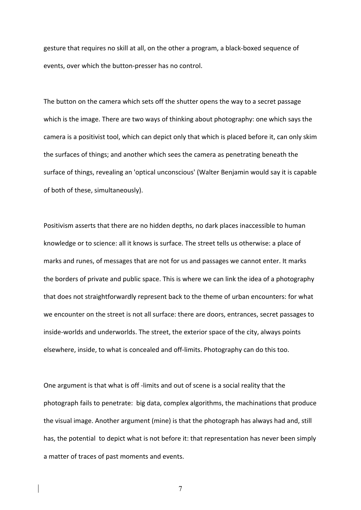gesture that requires no skill at all, on the other a program, a black-boxed sequence of events, over which the button-presser has no control.

The button on the camera which sets off the shutter opens the way to a secret passage which is the image. There are two ways of thinking about photography: one which says the camera is a positivist tool, which can depict only that which is placed before it, can only skim the surfaces of things; and another which sees the camera as penetrating beneath the surface of things, revealing an 'optical unconscious' (Walter Benjamin would say it is capable of both of these, simultaneously).

Positivism asserts that there are no hidden depths, no dark places inaccessible to human knowledge or to science: all it knows is surface. The street tells us otherwise: a place of marks and runes, of messages that are not for us and passages we cannot enter. It marks the borders of private and public space. This is where we can link the idea of a photography that does not straightforwardly represent back to the theme of urban encounters: for what we encounter on the street is not all surface: there are doors, entrances, secret passages to inside-worlds and underworlds. The street, the exterior space of the city, always points elsewhere, inside, to what is concealed and off-limits. Photography can do this too.

One argument is that what is off -limits and out of scene is a social reality that the photograph fails to penetrate: big data, complex algorithms, the machinations that produce the visual image. Another argument (mine) is that the photograph has always had and, still has, the potential to depict what is not before it: that representation has never been simply a matter of traces of past moments and events.